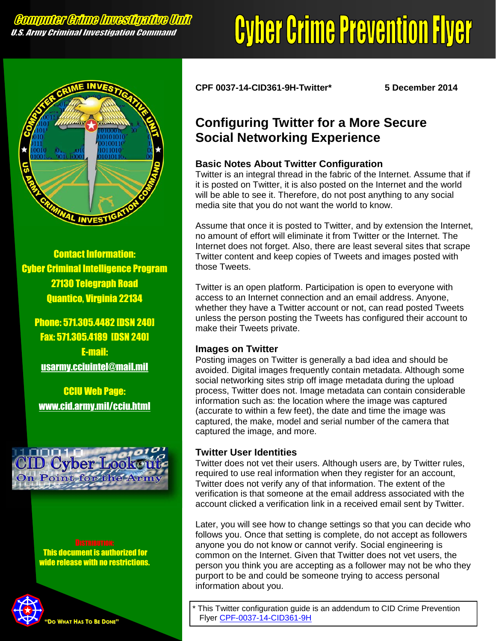# **Cyber Crime Prevention Flyer**



Contact Information: Cyber Criminal Intelligence Program 27130 Telegraph Road Quantico, Virginia 22134

Phone: 571.305.4482 [DSN 240] Fax: 571.305.4189 [DSN 240] E-mail: [usarmy.cciuintel@mail.mil](mailto:usarmy.cciuintel@mail.mil)

CCIU Web Page: [www.cid.army.mil/cciu.html](http://www.cid.army.mil/cciu.html)



 This document is authorized for wide release with no restrictions.



**CPF 0037-14-CID361-9H-Twitter\* 5 December 2014**

## **Configuring Twitter for a More Secure Social Networking Experience**

### **Basic Notes About Twitter Configuration**

Twitter is an integral thread in the fabric of the Internet. Assume that if it is posted on Twitter, it is also posted on the Internet and the world will be able to see it. Therefore, do not post anything to any social media site that you do not want the world to know.

Assume that once it is posted to Twitter, and by extension the Internet, no amount of effort will eliminate it from Twitter or the Internet. The Internet does not forget. Also, there are least several sites that scrape Twitter content and keep copies of Tweets and images posted with those Tweets.

Twitter is an open platform. Participation is open to everyone with access to an Internet connection and an email address. Anyone, whether they have a Twitter account or not, can read posted Tweets unless the person posting the Tweets has configured their account to make their Tweets private.

### **Images on Twitter**

Posting images on Twitter is generally a bad idea and should be avoided. Digital images frequently contain metadata. Although some social networking sites strip off image metadata during the upload process, Twitter does not. Image metadata can contain considerable information such as: the location where the image was captured (accurate to within a few feet), the date and time the image was captured, the make, model and serial number of the camera that captured the image, and more.

### **Twitter User Identities**

Twitter does not vet their users. Although users are, by Twitter rules, required to use real information when they register for an account, Twitter does not verify any of that information. The extent of the verification is that someone at the email address associated with the account clicked a verification link in a received email sent by Twitter.

Later, you will see how to change settings so that you can decide who follows you. Once that setting is complete, do not accept as followers anyone you do not know or cannot verify. Social engineering is common on the Internet. Given that Twitter does not vet users, the person you think you are accepting as a follower may not be who they purport to be and could be someone trying to access personal information about you.

This Twitter configuration guide is an addendum to CID Crime Prevention Flyer [CPF-0037-14-CID361-9H](http://www.cid.army.mil/documents/CCIU/2can/SocialNetworkingSafetyTips.pdf)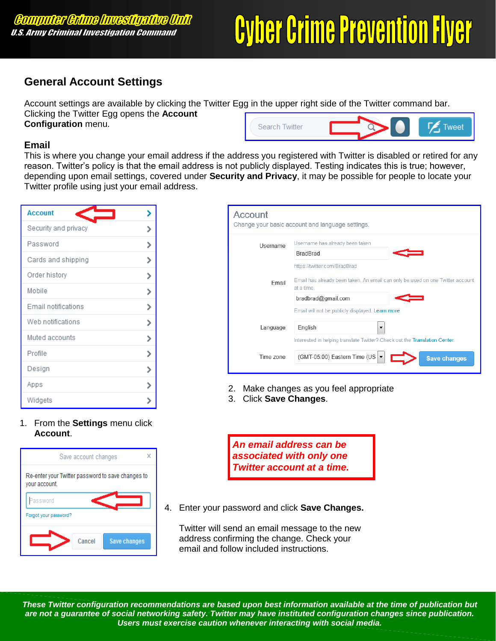# **Cyber Crime Prevention Flyer**

## **General Account Settings**

Account settings are available by clicking the Twitter Egg in the upper right side of the Twitter command bar. Clicking the Twitter Egg opens the **Account Configuration** menu.  $\n *Two*\n$ **Search Twitter** 

#### **Email**

This is where you change your email address if the address you registered with Twitter is disabled or retired for any reason. Twitter's policy is that the email address is not publicly displayed. Testing indicates this is true; however, depending upon email settings, covered under **Security and Privacy**, it may be possible for people to locate your Twitter profile using just your email address.

| <b>Account</b>       |  |
|----------------------|--|
| Security and privacy |  |
| Password             |  |
| Cards and shipping   |  |
| Order history        |  |
| Mobile               |  |
| Email notifications  |  |
| Web notifications    |  |
| Muted accounts       |  |
| Profile              |  |
| Design               |  |
| Apps                 |  |
| Widgets              |  |

1. From the **Settings** menu click **Account**.



| Account   | Change your basic account and language settings.                                             |
|-----------|----------------------------------------------------------------------------------------------|
| Username  | Username has already been taken                                                              |
|           | <b>BradBrad</b>                                                                              |
|           | https://twitter.com/BradBrad                                                                 |
| Email     | Email has already been taken. An email can only be used on one Twitter account<br>at a time. |
|           | bradbrad@gmail.com                                                                           |
|           | Email will not be publicly displayed. Learn more.                                            |
| Language  | English                                                                                      |
|           | Interested in helping translate Twitter? Check out the Translation Center.                   |
| Time zone | (GMT-05:00) Eastern Time (US<br><b>Save changes</b>                                          |
|           |                                                                                              |

- 2. Make changes as you feel appropriate
- 3. Click **Save Changes**.

*An email address can be associated with only one Twitter account at a time.* 

4. Enter your password and click **Save Changes.**

Twitter will send an email message to the new address confirming the change. Check your email and follow included instructions.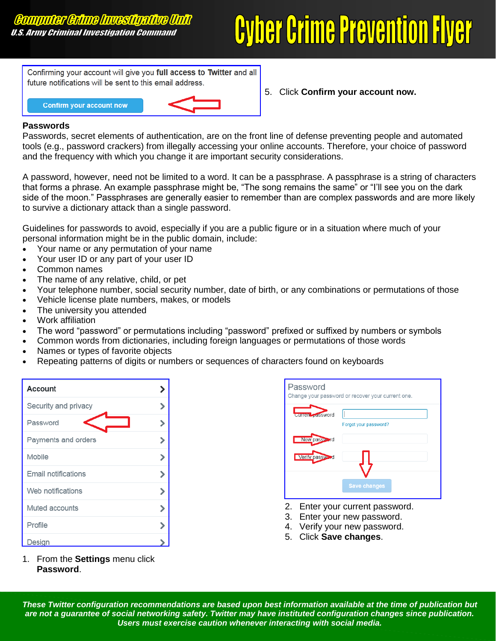## **Cyber Crime Prevention Flyer**

Confirming your account will give you full access to Twitter and all future notifications will be sent to this email address.



5. Click **Confirm your account now.**

#### **Passwords**

Passwords, secret elements of authentication, are on the front line of defense preventing people and automated tools (e.g., password crackers) from illegally accessing your online accounts. Therefore, your choice of password and the frequency with which you change it are important security considerations.

A password, however, need not be limited to a word. It can be a passphrase. A passphrase is a string of characters that forms a phrase. An example passphrase might be, "The song remains the same" or "I'll see you on the dark side of the moon." Passphrases are generally easier to remember than are complex passwords and are more likely to survive a dictionary attack than a single password.

Guidelines for passwords to avoid, especially if you are a public figure or in a situation where much of your personal information might be in the public domain, include:

- Your name or any permutation of your name
- Your user ID or any part of your user ID
- Common names
- The name of any relative, child, or pet
- Your telephone number, social security number, date of birth, or any combinations or permutations of those
- Vehicle license plate numbers, makes, or models
- The university you attended
- Work affiliation
- The word "password" or permutations including "password" prefixed or suffixed by numbers or symbols
- Common words from dictionaries, including foreign languages or permutations of those words
- Names or types of favorite objects
- Repeating patterns of digits or numbers or sequences of characters found on keyboards

| <b>Account</b>       |   |
|----------------------|---|
| Security and privacy |   |
| Password             |   |
| Payments and orders  |   |
| Mobile               |   |
| Email notifications  |   |
| Web notifications    | י |
| Muted accounts       |   |
| Profile              |   |
| Design               |   |

1. From the **Settings** menu click **Password**.

| Password         | Change your password or recover your current one. |
|------------------|---------------------------------------------------|
| current password | Forgot your password?                             |
| New password     |                                                   |
| Verify password  |                                                   |
|                  | <b>Save changes</b>                               |

- 2. Enter your current password.
- 3. Enter your new password.
- 4. Verify your new password.
- 5. Click **Save changes**.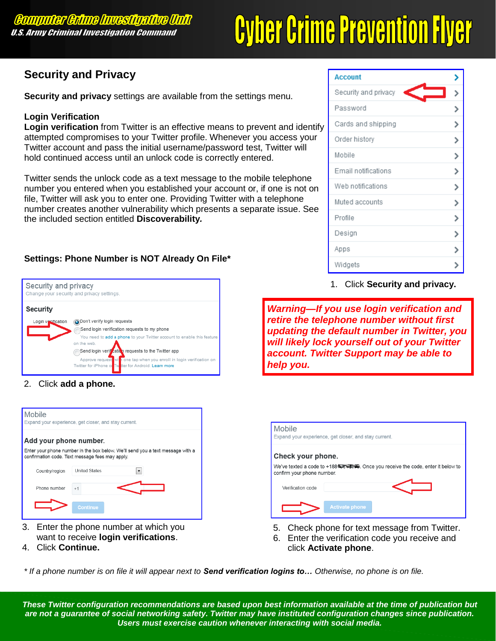# **Cyber Crime Prevention Flyer**

### **Security and Privacy**

**Security and privacy** settings are available from the settings menu.

#### **Login Verification**

**Login verification** from Twitter is an effective means to prevent and identify attempted compromises to your Twitter profile. Whenever you access your Twitter account and pass the initial username/password test, Twitter will hold continued access until an unlock code is correctly entered.

Twitter sends the unlock code as a text message to the mobile telephone number you entered when you established your account or, if one is not on file, Twitter will ask you to enter one. Providing Twitter with a telephone number creates another vulnerability which presents a separate issue. See the included section entitled **Discoverability***.*

#### **Settings: Phone Number is NOT Already On File\***



2. Click **add a phone.**

| Mobile<br>Expand your experience, get closer, and stay current.                                                                   |                      |  |  |
|-----------------------------------------------------------------------------------------------------------------------------------|----------------------|--|--|
| Add your phone number.                                                                                                            |                      |  |  |
| Enter your phone number in the box below. We'll send you a text message with a<br>confirmation code. Text message fees may apply. |                      |  |  |
| Country/region                                                                                                                    | <b>United States</b> |  |  |
| Phone number                                                                                                                      | $+1$                 |  |  |
|                                                                                                                                   | Continue             |  |  |

- 3. Enter the phone number at which you want to receive **login verifications**.
- 4. Click **Continue.**

| <b>Account</b>       |  |
|----------------------|--|
| Security and privacy |  |
| Password             |  |
| Cards and shipping   |  |
| Order history        |  |
| Mobile               |  |
| Email notifications  |  |
| Web notifications    |  |
| Muted accounts       |  |
| Profile              |  |
| Design               |  |
| Apps                 |  |
| Widgets              |  |

1. Click **Security and privacy.**

*Warning—If you use login verification and retire the telephone number without first updating the default number in Twitter, you will likely lock yourself out of your Twitter account. Twitter Support may be able to help you.* 

| <b>Mobile</b><br>Expand your experience, get closer, and stay current.                                       |                       |  |
|--------------------------------------------------------------------------------------------------------------|-----------------------|--|
| Check your phone.                                                                                            |                       |  |
| We've texted a code to +188 = # # Once you receive the code, enter it below to<br>confirm your phone number. |                       |  |
| Verification code                                                                                            |                       |  |
|                                                                                                              | <b>Activate phone</b> |  |

- 5. Check phone for text message from Twitter.
- 6. Enter the verification code you receive and click **Activate phone**.

*\* If a phone number is on file it will appear next to Send verification logins to… Otherwise, no phone is on file.*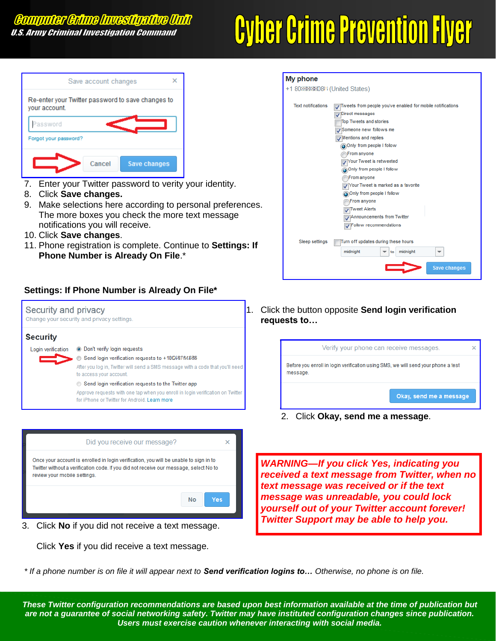## **Cyber Crime Prevention Flyer**



- 7. Enter your Twitter password to verity your identity.
- 8. Click **Save changes.**
- 9. Make selections here according to personal preferences. The more boxes you check the more text message notifications you will receive.
- 10. Click **Save changes**.
- 11. Phone registration is complete. Continue to **Settings: If Phone Number is Already On File**.\*

#### **Settings: If Phone Number is Already On File\***





Click **Yes** if you did receive a text message.

| My phone                       |                                                            |
|--------------------------------|------------------------------------------------------------|
| +1 808888808Fi (United States) |                                                            |
|                                |                                                            |
| <b>Text notifications</b>      | Tweets from people you've enabled for mobile notifications |
|                                | Direct messages                                            |
|                                | <b>Top Tweets and stories</b>                              |
|                                | Someone new follows me                                     |
|                                | $\sqrt{$ Mentions and replies                              |
|                                | Only from people I follow                                  |
|                                | From anyone                                                |
|                                | Your Tweet is retweeted                                    |
|                                | Only from people I follow                                  |
|                                | From anyone                                                |
|                                | Your Tweet is marked as a favorite                         |
|                                | Only from people I follow                                  |
|                                | ∖From anyone<br>Tweet Alerts                               |
|                                | Announcements from Twitter                                 |
|                                | Follow recommendations                                     |
|                                |                                                            |
| Sleep settings                 | Turn off updates during these hours                        |
|                                | midnight<br>midnight<br>to<br>▼                            |
|                                | <b>Save changes</b>                                        |

1. Click the button opposite **Send login verification requests to…**



2. Click **Okay, send me a message**.

*WARNING—If you click Yes, indicating you received a text message from Twitter, when no text message was received or if the text message was unreadable, you could lock yourself out of your Twitter account forever!* 

*\* If a phone number is on file it will appear next to Send verification logins to… Otherwise, no phone is on file.*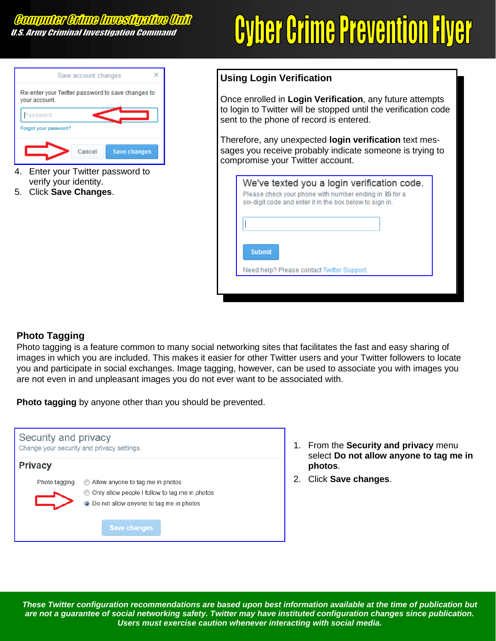## **Cyber Crime Prevention Flyer**



- 4. Enter your Twitter password to verify your identity.
- 5. Click **Save Changes**.

#### **Using Login Verification Using Login Verification**

Once enrolled in Login Verification, any future attempts to to login to Twitter will be stopped until the verification code login to Twitter will be stopped until the verification code sent to the phone of record is entered. sent to the phone of record is entered. Once enrolled in **Login Verification**, any future attempts

sages you receive probably indicate someone is trying to ceive probably indicate someone is trying to compromise compromise your Twitter account. your Twitter account. Therefore, any unexpected **login verification** text mes-

| Please check your phone with number ending in 35 for a<br>six-digit code and enter it in the box below to sign in. |  |
|--------------------------------------------------------------------------------------------------------------------|--|
|                                                                                                                    |  |
| <b>Submit</b>                                                                                                      |  |
| Need help? Please contact Twitter Support.                                                                         |  |

#### **Photo Tagging**

Photo tagging is a feature common to many social networking sites that facilitates the fast and easy sharing of images in which you are included. This makes it easier for other Twitter users and your Twitter followers to locate you and participate in social exchanges. Image tagging, however, can be used to associate you with images you are not even in and unpleasant images you do not ever want to be associated with.

**Photo tagging** by anyone other than you should be prevented.

| Security and privacy<br>Change your security and privacy settings. |                                                                                                                                                        |  |
|--------------------------------------------------------------------|--------------------------------------------------------------------------------------------------------------------------------------------------------|--|
| <b>Privacy</b>                                                     |                                                                                                                                                        |  |
| Photo tagging                                                      | Allow anyone to tag me in photos<br>Only allow people I follow to tag me in photos<br>• Do not allow anyone to tag me in photos<br><b>Save changes</b> |  |

- 1. From the **Security and privacy** menu select **Do not allow anyone to tag me in photos**.
- 2. Click **Save changes**.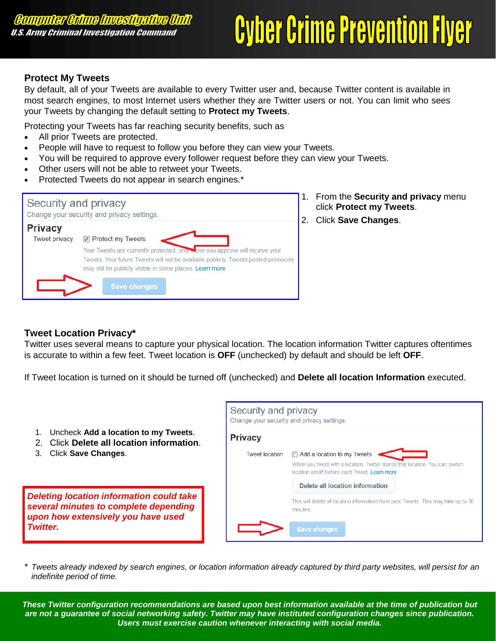## **Cyber Crime Prevention Flyer**

#### **Protect My Tweets**

By default, all of your Tweets are available to every Twitter user and, because Twitter content is available in most search engines, to most Internet users whether they are Twitter users or not. You can limit who sees your Tweets by changing the default setting to **Protect my Tweets**.

Protecting your Tweets has far reaching security benefits, such as

- All prior Tweets are protected.
- People will have to request to follow you before they can view your Tweets.
- You will be required to approve every follower request before they can view your Tweets.
- Other users will not be able to retweet your Tweets.
- Protected Tweets do not appear in search engines.\*

|                                 | Security and privacy<br>Change your security and privacy settings.                                                                                                                                                                                                                            |  |
|---------------------------------|-----------------------------------------------------------------------------------------------------------------------------------------------------------------------------------------------------------------------------------------------------------------------------------------------|--|
| <b>Privacy</b><br>Tweet privacy | $\triangledown$ Protect my Tweets<br>Your Tweets are currently protected; only those you approve will receive your<br>Tweets. Your future Tweets will not be available publicly. Tweets posted previously<br>may still be publicly visible in some places. Learn more.<br><b>Save changes</b> |  |

- 1. From the **Security and privacy** menu click **Protect my Tweets**.
- 2. Click **Save Changes**.

#### **Tweet Location Privacy\***

Twitter uses several means to capture your physical location. The location information Twitter captures oftentimes is accurate to within a few feet. Tweet location is **OFF** (unchecked) by default and should be left **OFF**.

If Tweet location is turned on it should be turned off (unchecked) and **Delete all location Information** executed.

- 1. Uncheck **Add a location to my Tweets**.
- 2. Click **Delete all location information**.
- 3. Click **Save Changes**.

*Deleting location information could take several minutes to complete depending upon how extensively you have used Twitter.* 

| Security and privacy<br>Change your security and privacy settings. |                                                                                                                                                             |  |
|--------------------------------------------------------------------|-------------------------------------------------------------------------------------------------------------------------------------------------------------|--|
| <b>Privacy</b>                                                     |                                                                                                                                                             |  |
| Tweet location                                                     | Add a location to my Tweets<br>When you tweet with a location, Twitter stores that location. You can switch<br>location on/off before each Tweet Learn more |  |
|                                                                    | Delete all location information                                                                                                                             |  |
|                                                                    | This will delete all location information from past Tweets. This may take up to 30<br>minutes.                                                              |  |
|                                                                    | <b>Save changes</b>                                                                                                                                         |  |

\* *Tweets already indexed by search engines, or location information already captured by third party websites, will persist for an indefinite period of time.*